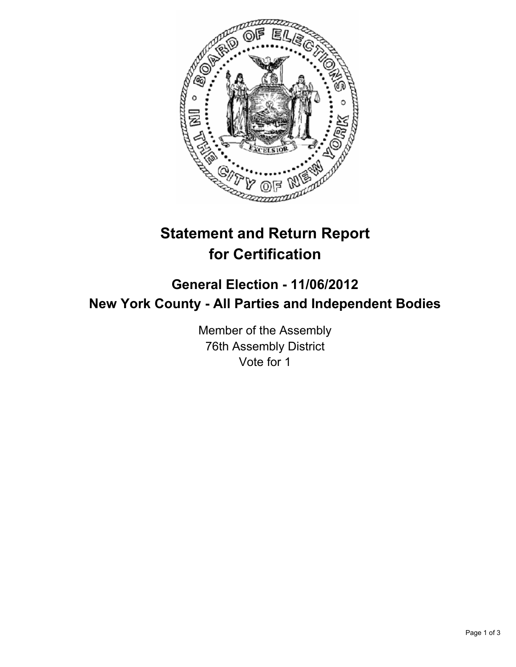

# **Statement and Return Report for Certification**

# **General Election - 11/06/2012 New York County - All Parties and Independent Bodies**

Member of the Assembly 76th Assembly District Vote for 1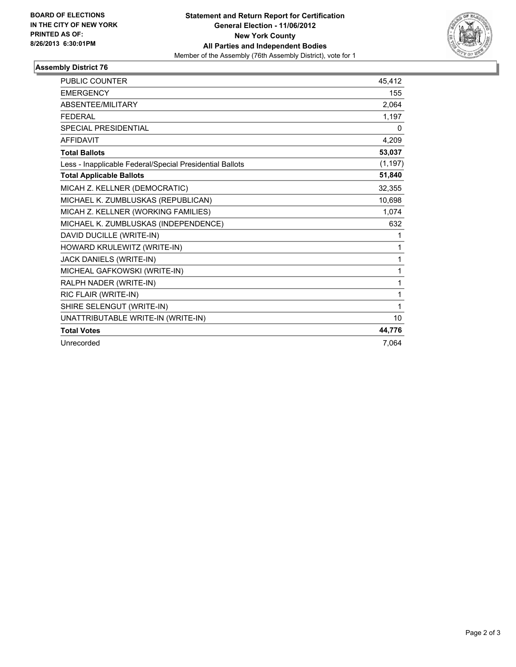

## **Assembly District 76**

| <b>PUBLIC COUNTER</b>                                    | 45.412   |
|----------------------------------------------------------|----------|
| <b>EMERGENCY</b>                                         | 155      |
| <b>ABSENTEE/MILITARY</b>                                 | 2,064    |
| <b>FEDERAL</b>                                           | 1,197    |
| <b>SPECIAL PRESIDENTIAL</b>                              | 0        |
| <b>AFFIDAVIT</b>                                         | 4,209    |
| <b>Total Ballots</b>                                     | 53,037   |
| Less - Inapplicable Federal/Special Presidential Ballots | (1, 197) |
| <b>Total Applicable Ballots</b>                          | 51,840   |
| MICAH Z. KELLNER (DEMOCRATIC)                            | 32,355   |
| MICHAEL K. ZUMBLUSKAS (REPUBLICAN)                       | 10,698   |
| MICAH Z. KELLNER (WORKING FAMILIES)                      | 1,074    |
| MICHAEL K. ZUMBLUSKAS (INDEPENDENCE)                     | 632      |
| DAVID DUCILLE (WRITE-IN)                                 | 1        |
| HOWARD KRULEWITZ (WRITE-IN)                              | 1        |
| JACK DANIELS (WRITE-IN)                                  | 1        |
| MICHEAL GAFKOWSKI (WRITE-IN)                             | 1        |
| RALPH NADER (WRITE-IN)                                   | 1        |
| RIC FLAIR (WRITE-IN)                                     | 1        |
| SHIRE SELENGUT (WRITE-IN)                                | 1        |
| UNATTRIBUTABLE WRITE-IN (WRITE-IN)                       | 10       |
| <b>Total Votes</b>                                       | 44,776   |
| Unrecorded                                               | 7,064    |